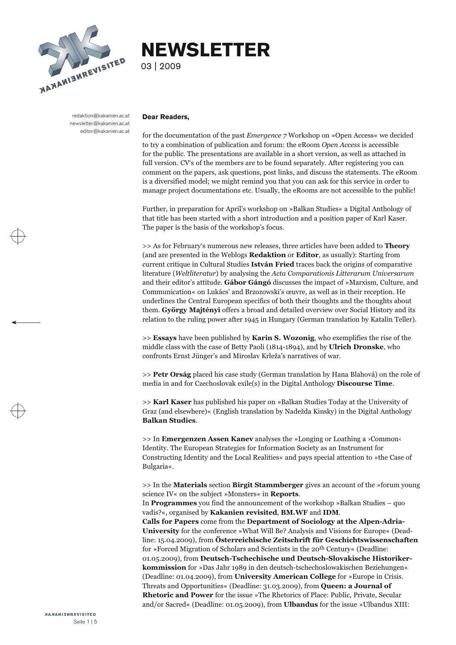

# **NEWSLETTER**

03 | 2009

redaktion@kakanien.ac.at newsletter@kakanien.ac.at editor@kakanien.ac.at

### **Dear Readers,**

for the documentation of the past *Emergence*  $7$  Workshop on »Open Access« we decided to try a combination of publication and forum: the eRoom *Open Access* is accessible for the public. The presentations are available i

Further, in preparation for April's workshop on »Balkan Studies« a Digital Anthology of that title has been started with a short introduction and a position paper of Karl Kaser. The paper is the basis of the workshop's foc

>> As for February's numerous new releases, three articles have been added to **Theory** (and are presented in the Weblogs **Redaktion** or **Editor**, as usually): Starting from<br>current critique in Cultural Studies **István Fried** traces back the origins of comparative<br>literature (*Weltliteratur*) by analysing the and their editor's attitude. **Gábor Gángó** discusses the impact of »Marxism, Culture, and Communication« on Lukács' and Brzozowski's œuvre, as well as in their reception. He underlines the Central European specifics of bot

>> **Essays** have been published by **Karin S. Wozonig**, who exemplifies the rise of the middle class with the case of Betty Paoli (1814-1894), and by **Ulrich Dronske**, who confronts Ernst Jünger's and Miroslav Krleža's narr

>> **Petr Orság** placed his case study (German translation by Hana Blahová) on the role of media in and for Czechoslovak exile(s) in the Digital Anthology **Discourse Time**.

>> **Karl Kaser** has published his paper on »Balkan Studies Today at the University of Graz (and elsewhere)« (English translation by Nadežda Kinsky) in the Digital Anthology **Balkan Studies**.

>> In **Emergenzen Assen Kanev** analyses the »Longing or Loathing a ›Common‹<br>Identity. The European Strategies for Information Society as an Instrument for<br>Constructing Identity and the Local Realities« and pays special att

>> In the **Materials** section **Birgit Stammberger** gives an account of the »forum young science IV« on the subject »Monsters« in **Reports**.<br>In **Programmes** you find the announcement of the workshop »Balkan Studies – quo va

**Calls for Papers** come from the **Department of Sociology at the Alpen-Adria-University** for the conference »What Will Be? Analysis and Visions for Europe« (Dead line: 15.04.2009), from **Österreichische Zeitschrift für Geschichtswissenschaften** for »Forced Migration of Scholars and Scientists in the 20th Century« (Deadline: 01.05.2009), from **Deutsch-Tschechische und Deutsch-Slovakische Historiker**kommission for »Das Jahr 1989 in den deutsch-tschechoslowakischen Beziehungen«<br>(Deadline: 01.04.2009), from University American College for »Europe in Crisis.<br>Threats and Opportunities« (Deadline: 31.03.2009), from Queen: **Rhetoric and Power** for the issue »The Rhetorics of Place: Public, Private, Secular and/or Sacred« (Deadline: 01.05.2009), from **Ulbandus** for the issue »Ulbandus XIII: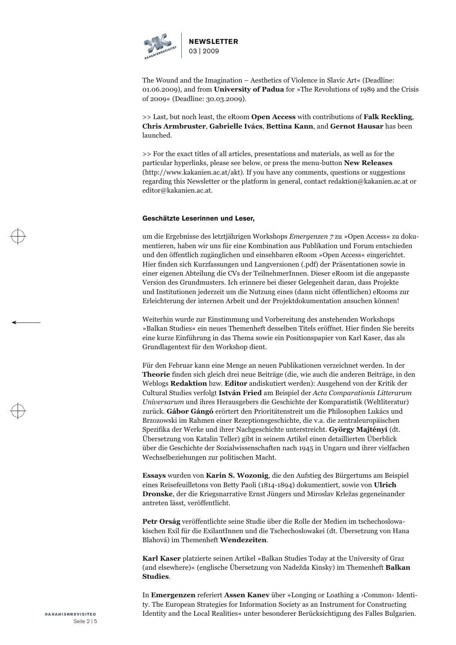

The Wound and the Imagination – Aesthetics of Violence in Slavic Art« (Deadline: 01.06.2009), and from **University of Padua** for »The Revolutions of 1989 and the Crisis of 2009« (Deadline: 30.03.2009).

>> Last, but noch least, the eRoom **Open Access** with contributions of **Falk Reckling**, **Chris Armbruster**, **Gabrielle Ivács**, **Bettina Kann**, and **Gernot Hausar** has been launched.

>> For the exact titles of all articles, presentations and materials, as well as for the particular hyperlinks, please see below, or press the menu-button **New Releases** [\(http://www.kakanien.ac.at/akt\)](http://www.kakanien.ac.at/akt). If you have any comments, questions or suggestions regarding this Newsletter or the platform in general, contact redaktion@kakanien.ac.at or editor@kakanien.ac.at.

# **Geschätzte Leserinnen und Leser,**

um die Ergebnisse des letztjährigen Workshops *Emergenzen 7* zu »Open Access« zu doku mentieren, haben wir uns für eine Kombination aus Publikation und Forum entschieden<br>und den öffentlich zugänglichen und einsehbaren eRoom »Open Access« eingerichtet.<br>Hier finden sich Kurzfassungen und Langversionen (.pdf)

Für den Februar kann eine Menge an neuen Publikationen verzeichnet werden. In der Theorie finden sich gleich drei neue Beiträge (die, wie auch die anderen Beiträge, in den Weblogs Redaktion bzw. Editor andiskutiert werden): Ausgehend von der Kritik der Cultural Studies verfolgt István Fried am Beispiel Universarum und ihres Herausgebers die Geschichte der Komparatistik (Weltliteratur) zurück. **Gábor Gángó** erörtert den Prioritätenstreit um die Philosophen Lukács und Brzozowski im Rahmen einer Rezeptionsgeschichte, die v

**Essays** wurden von **Karin S. Wozonig**, die den Aufstieg des Bürgertums am Beispiel eines Reisefeuilletons von Betty Paoli (1814-1894) dokumentiert, sowie von **Ulrich Dronske**, der die Kriegsnarrative Ernst Jüngers und Miroslav Krležas gegeneinander antreten lässt, veröffentlicht.

**Petr Orság** veröffentlichte seine Studie über die Rolle der Medien im tschechoslowa kischen Exil für die ExilantInnen und die Tschechoslowakei (dt. Übersetzung von Hana Blahová) im Themenheft **Wendezeiten**.

**Karl Kaser** platzierte seinen Artikel »Balkan Studies Today at the University of Graz (and elsewhere)« (englische Übersetzung von Nadežda Kinsky) im Themenheft **Balkan Studies**.

In **Emergenzen** referiert **Assen Kanev** über »Longing or Loathing a ›Common‹ Identi ty. The European Strategies for Information Society as an Instrument for Constructing Identity and the Local Realities« unter besonderer Berücksichtigung des Falles Bulgarien.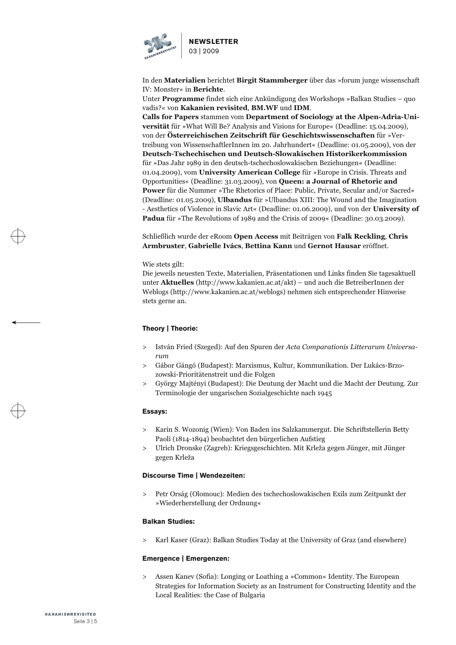

In den Materialien berichtet Birgit Stammberger über das »forum junge wissenschaft<br>IV: Monster« in Berichte.<br>Unter Programme findet sich eine Ankündigung des Workshops »Balkan Studies – quo<br>vadis?« von Kakanien revisited,

**Calls for Papers** stammen vom **Department of Sociology at the Alpen-Adria-Universität** für »What Will Be? Analysis and Visions for Europe« (Deadline: 15.04.2009), von der **Österreichischen Zeitschrift für Geschichtswissenschaften** für »Ver treibung von WissenschaftlerInnen im 20. Jahrhundert« (Deadline: 01.05.2009), von der **Deutsch-Tschechischen und Deutsch-Slowakischen Historikerkommission** für »Das Jahr 1989 in den deutsch-tschechoslowakischen Beziehungen« (Deadline: 01.04.2009), vom University American College für »Europe in Crisis. Threats and Opportunities« (Deadline: 31.03.2009), von Queen: a Journal of **Power** für die Nummer »The Rhetorics of Place: Public, Private, Secular and/or Sacred«<br>(Deadline: 01.05.2009), **Ulbandus** für »Ulbandus XIII: The Wound and the Imagination<br>- Aesthetics of Violence in Slavic Art« (Deadline **Padua** für »The Revolutions of 1989 and the Crisis of 2009« (Deadline: 30.03.2009).

# Schließlich wurde der eRoom **Open Access** mit Beiträgen von **Falk Reckling**, **Chris Armbruster**, **Gabrielle Ivács**, **Bettina Kann** und **Gernot Hausar** eröffnet.

Wie stets gilt:<br>Die jeweils neuesten Texte, Materialien, Präsentationen und Links finden Sie tagesaktuell<br>unter **Aktuelles** (http://www.kakanien.ac.at/akt) – und auch die Betreiber<br>Innen der Weblogs (http://www.kakanien.a

# **Theory | Theorie:**

- István Fried (Szeged): Auf den Spuren der *[Acta Comparationis Litterarum Universa](http://www.kakanien.ac.at/beitr/theorie/IFried2.pdf/abstract)rum*  $\rightarrow$
- [Gábor Gángó \(Budapest\): Marxismus, Kultur, Kommunikation. Der Lukács-Brzo](http://www.kakanien.ac.at/beitr/theorie/GGango2.pdf/abstract) zowski-Prioritätenstreit und die Folgen  $\geq$
- [György Majtényi \(Budapest\): Die Deutung der Macht und die Macht der Deutung. Zur Terminologie der ungarischen Sozialgeschichte nach 1945](http://www.kakanien.ac.at/beitr/theorie/GMajtenyi1.pdf/abstract)  $\rightarrow$

#### **Essays:**

- [Karin S. Wozonig \(Wien\): Von Baden ins Salzkammergut. Die Schriftstellerin Betty Paoli \(1814-1894\) beobachtet den bürgerlichen Aufstieg](http://www.kakanien.ac.at/beitr/essay/KWozonig1.pdf/abstract) >
- [Ulrich Dronske \(Zagreb\): Kriegsgeschichten. Mit Krleža gegen Jünger, mit Jünger gegen Krleža](http://www.kakanien.ac.at/beitr/essay/UDronske1.pdf/abstract)  $\geq$

# **Discourse Time | Wendezeiten:**

[Petr Orság \(Olomouc\): Medien des tschechoslowakischen Exils zum Zeitpunkt der »Wiederherstellung der Ordnung«](http://www.kakanien.ac.at/beitr/wende/POrsag1.pdf/abstract) >

#### **Balkan Studies:**

[Karl Kaser \(Graz\): Balkan Studies Today at the University of Graz \(and elsewhere\)](http://www.kakanien.ac.at/beitr/balkans/KKaser1.pdf/abstract)  $\rightarrow$ 

# **Emergence | Emergenzen:**

[Assen Kanev \(Sofia\): Longing or Loathing a »Common« Identity. The European Strategies for Information Society as an Instrument for Constructing Identity and the Local Realities: the Case of Bulgaria](http://www.kakanien.ac.at/beitr/emerg/AKanev1.pdf/abstract)  $\rightarrow$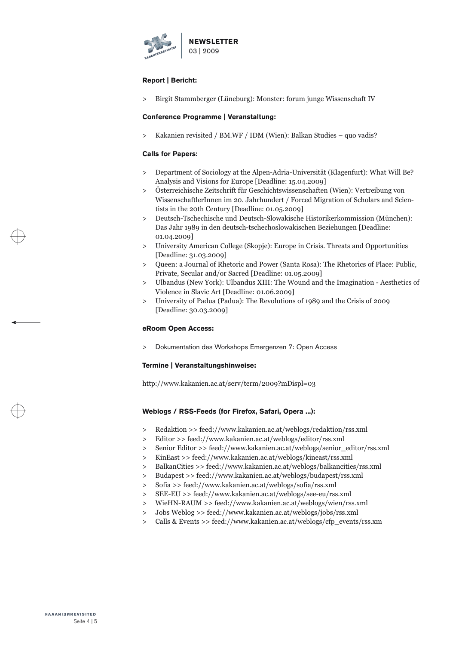

# **Report | Bericht:**

[Birgit Stammberger \(Lüneburg\): Monster: forum junge Wissenschaft IV](http://www.kakanien.ac.at/mat/BStammberger1.pdf/abstract) >

# **Conference Programme | Veranstaltung:**

[Kakanien revisited / BM.WF / IDM \(Wien\): Balkan Studies – quo vadis?](http://www.kakanien.ac.at/mat/Kkrev_BMWF_IDM1.pdf/abstract)  $\rightarrow$ 

# **Calls for Papers:**

- [Department of Sociology at the Alpen-Adria-Universität \(Klagenfurt\): What Will Be? Analysis and Visions for Europe \[Deadline: 15.04.2009\]](http://www.kakanien.ac.at/mat/IS_AAU2.pdf/abstract) >
- [Österreichische Zeitschrift für Geschichtswissenschaften \(Wien\): Vertreibung von WissenschaftlerInnen im 20. Jahrhundert / Forced Migration of Scholars and Scien](http://www.kakanien.ac.at/mat/OeZG2.pdf/abstract) tists in the 20th Century [Deadline: 01.05.2009] >
- [Deutsch-Tschechische und Deutsch-Slowakische Historikerkommission \(München\): Das Jahr 1989 in den deutsch-tschechoslowakischen Beziehungen \[Deadline:](http://www.kakanien.ac.at/mat/DCZ_DSK_Historikerkommission2.pdf/abstract) 01.04.2009]  $>$
- [University American College \(Skopje\): Europe in Crisis. Threats and Opportunities](http://www.kakanien.ac.at/mat/UAC1.pdf/abstract) [Deadline: 31.03.2009]  $\geq$
- [Queen: a Journal of Rhetoric and Power \(Santa Rosa\): The Rhetorics of Place: Public, Private, Secular and/or Sacred \[Deadline: 01.05.2009\]](http://www.kakanien.ac.at/mat/Queen1.pdf/abstract)  $\geq$
- [Ulbandus \(New York\): Ulbandus XIII: The Wound and the Imagination Aesthetics of Violence in Slavic Art \[Deadline: 01.06.2009\]](http://www.kakanien.ac.at/mat/Ulbandus1.pdf/abstract)  $\geq$
- [University of Padua \(Padua\): The Revolutions of 1989 and the Crisis of 2009](http://www.kakanien.ac.at/mat/Univ_Padua2.pdf/abstract) [Deadline: 30.03.2009]  $\rightarrow$

# **eRoom Open Access:**

[Dokumentation des Workshops Emergenzen 7: Open Access](http://www.kakanien.ac.at/eRoom/open_access/general) >

# **Termine | Veranstaltungshinweise:**

<http://www.kakanien.ac.at/serv/term/2009?mDispl=03>

# **Weblogs / RSS-Feeds (for Firefox, Safari, Opera ...):**

- Redaktion >> [feed://www.kakanien.ac.at/weblogs/redaktion/rss.xml](http://www.kakanien.ac.at/weblogs/redaktion)  $\geq$
- Editor >> [feed://www.kakanien.ac.at/weblogs/editor/rss.xml](http://www.kakanien.ac.at/weblogs/editor)  $\geq$
- Senior Editor >> [feed://www.kakanien.ac.at/weblogs/senior\\_editor/rss.xml](http://www.kakanien.ac.at/weblogs/senior_editor) >
- KinEast >> [feed://www.kakanien.ac.at/weblogs/kineast/rss.xml](http://www.kakanien.ac.at/weblogs/kineast)  $>$
- BalkanCities >> [feed://www.kakanien.ac.at/weblogs/balkancities/rss.xml](http://www.kakanien.ac.at/weblogs/balkancities)  $\geq$
- Budapest >> [feed://www.kakanien.ac.at/weblogs/budapest/rss.xml](http://www.kakanien.ac.at/weblogs/budapest)  $\rightarrow$
- Sofia >> [feed://www.kakanien.ac.at/weblogs/sofia/rss.xml](http://www.kakanien.ac.at/weblogs/sofia)  $\rightarrow$
- SEE-EU >> [feed://www.kakanien.ac.at/weblogs/see-eu/rss.xml](http://www.kakanien.ac.at/weblogs/see-eu) >
- WieHN-RAUM >> [feed://www.kakanien.ac.at/weblogs/wien/rss.xml](http://www.kakanien.ac.at/weblogs/wien)  $\geq$
- Jobs Weblog >> [feed://www.kakanien.ac.at/weblogs/jobs/rss.xml](http://www.kakanien.ac.at/weblogs/jobs)  $\geq$
- Calls & Events >[> feed://www.kakanien.ac.at/weblogs/cfp\\_events/rss.xm](http://www.kakanien.ac.at/weblogs/cfp_events)  $\geq$